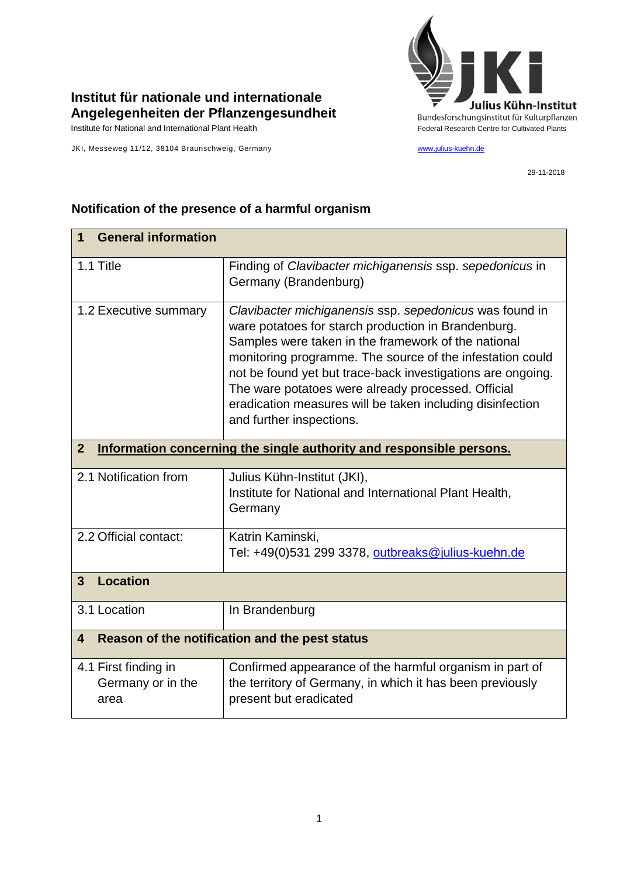

## **Institut für nationale und internationale Angelegenheiten der Pflanzengesundheit**

JKI, Messeweg 11/12, 38104 Braunschweig, Germany [www.julius-kuehn.de](http://www.julius-kuehn.de/)

29-11-2018

| <b>General information</b><br>1                                                        |                                                                                                                                                                                                                                                                                                                                                                                                                                                  |  |
|----------------------------------------------------------------------------------------|--------------------------------------------------------------------------------------------------------------------------------------------------------------------------------------------------------------------------------------------------------------------------------------------------------------------------------------------------------------------------------------------------------------------------------------------------|--|
| 1.1 Title                                                                              | Finding of Clavibacter michiganensis ssp. sepedonicus in<br>Germany (Brandenburg)                                                                                                                                                                                                                                                                                                                                                                |  |
| 1.2 Executive summary                                                                  | Clavibacter michiganensis ssp. sepedonicus was found in<br>ware potatoes for starch production in Brandenburg.<br>Samples were taken in the framework of the national<br>monitoring programme. The source of the infestation could<br>not be found yet but trace-back investigations are ongoing.<br>The ware potatoes were already processed. Official<br>eradication measures will be taken including disinfection<br>and further inspections. |  |
| $\overline{2}$<br>Information concerning the single authority and responsible persons. |                                                                                                                                                                                                                                                                                                                                                                                                                                                  |  |
| 2.1 Notification from                                                                  | Julius Kühn-Institut (JKI),<br>Institute for National and International Plant Health,<br>Germany                                                                                                                                                                                                                                                                                                                                                 |  |
| 2.2 Official contact:                                                                  | Katrin Kaminski,<br>Tel: +49(0)531 299 3378, outbreaks@julius-kuehn.de                                                                                                                                                                                                                                                                                                                                                                           |  |
| <b>Location</b><br>$\mathbf{3}$                                                        |                                                                                                                                                                                                                                                                                                                                                                                                                                                  |  |
| 3.1 Location                                                                           | In Brandenburg                                                                                                                                                                                                                                                                                                                                                                                                                                   |  |
| Reason of the notification and the pest status<br>$\overline{\mathbf{4}}$              |                                                                                                                                                                                                                                                                                                                                                                                                                                                  |  |
| 4.1 First finding in<br>Germany or in the<br>area                                      | Confirmed appearance of the harmful organism in part of<br>the territory of Germany, in which it has been previously<br>present but eradicated                                                                                                                                                                                                                                                                                                   |  |

## **Notification of the presence of a harmful organism**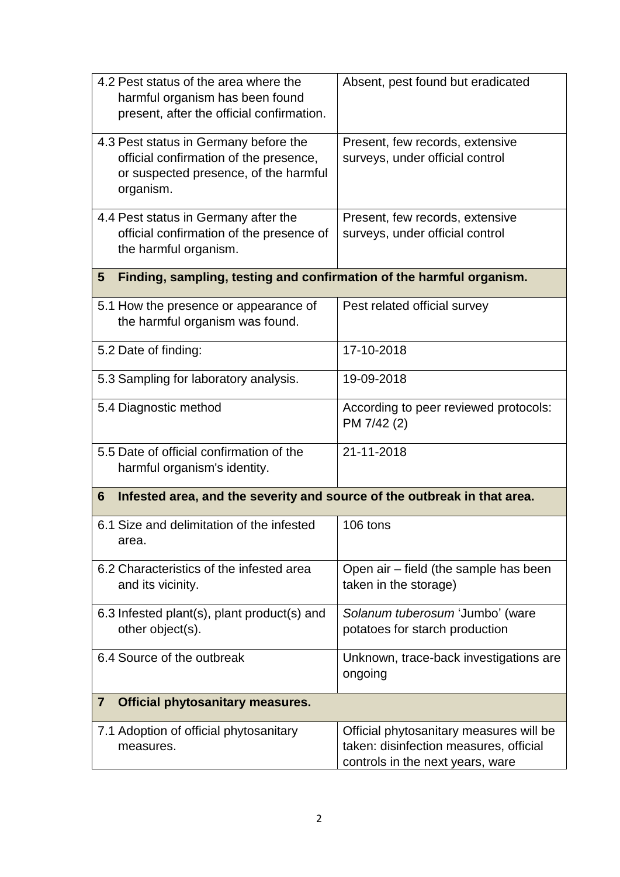| 4.2 Pest status of the area where the<br>harmful organism has been found<br>present, after the official confirmation.                 | Absent, pest found but eradicated                                                                                     |  |  |
|---------------------------------------------------------------------------------------------------------------------------------------|-----------------------------------------------------------------------------------------------------------------------|--|--|
| 4.3 Pest status in Germany before the<br>official confirmation of the presence,<br>or suspected presence, of the harmful<br>organism. | Present, few records, extensive<br>surveys, under official control                                                    |  |  |
| 4.4 Pest status in Germany after the<br>official confirmation of the presence of<br>the harmful organism.                             | Present, few records, extensive<br>surveys, under official control                                                    |  |  |
| Finding, sampling, testing and confirmation of the harmful organism.<br>5                                                             |                                                                                                                       |  |  |
| 5.1 How the presence or appearance of<br>the harmful organism was found.                                                              | Pest related official survey                                                                                          |  |  |
| 5.2 Date of finding:                                                                                                                  | 17-10-2018                                                                                                            |  |  |
| 5.3 Sampling for laboratory analysis.                                                                                                 | 19-09-2018                                                                                                            |  |  |
| 5.4 Diagnostic method                                                                                                                 | According to peer reviewed protocols:<br>PM 7/42 (2)                                                                  |  |  |
| 5.5 Date of official confirmation of the<br>harmful organism's identity.                                                              | 21-11-2018                                                                                                            |  |  |
| Infested area, and the severity and source of the outbreak in that area.<br>6                                                         |                                                                                                                       |  |  |
| 6.1 Size and delimitation of the infested<br>area.                                                                                    | 106 tons                                                                                                              |  |  |
| 6.2 Characteristics of the infested area<br>and its vicinity.                                                                         | Open air - field (the sample has been<br>taken in the storage)                                                        |  |  |
| 6.3 Infested plant(s), plant product(s) and<br>other object(s).                                                                       | Solanum tuberosum 'Jumbo' (ware<br>potatoes for starch production                                                     |  |  |
| 6.4 Source of the outbreak                                                                                                            | Unknown, trace-back investigations are<br>ongoing                                                                     |  |  |
| <b>Official phytosanitary measures.</b><br>$\mathbf{7}$                                                                               |                                                                                                                       |  |  |
| 7.1 Adoption of official phytosanitary<br>measures.                                                                                   | Official phytosanitary measures will be<br>taken: disinfection measures, official<br>controls in the next years, ware |  |  |